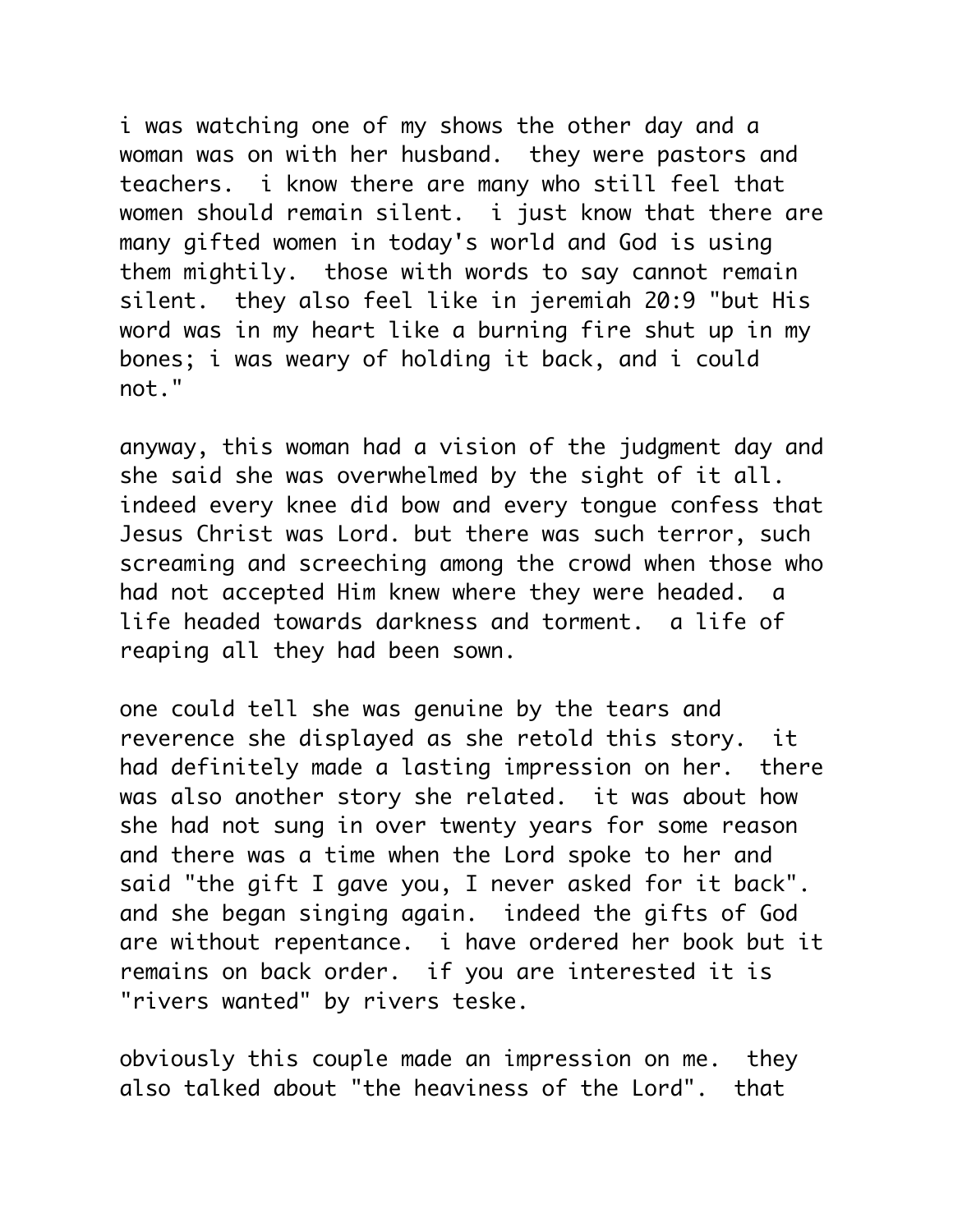i was watching one of my shows the other day and a woman was on with her husband. they were pastors and teachers. i know there are many who still feel that women should remain silent. i just know that there are many gifted women in today's world and God is using them mightily. those with words to say cannot remain silent. they also feel like in jeremiah 20:9 "but His word was in my heart like a burning fire shut up in my bones; i was weary of holding it back, and i could not."

anyway, this woman had a vision of the judgment day and she said she was overwhelmed by the sight of it all. indeed every knee did bow and every tongue confess that Jesus Christ was Lord. but there was such terror, such screaming and screeching among the crowd when those who had not accepted Him knew where they were headed. a life headed towards darkness and torment. a life of reaping all they had been sown.

one could tell she was genuine by the tears and reverence she displayed as she retold this story. it had definitely made a lasting impression on her. there was also another story she related. it was about how she had not sung in over twenty years for some reason and there was a time when the Lord spoke to her and said "the gift I gave you, I never asked for it back". and she began singing again. indeed the gifts of God are without repentance. i have ordered her book but it remains on back order. if you are interested it is "rivers wanted" by rivers teske.

obviously this couple made an impression on me. they also talked about "the heaviness of the Lord". that